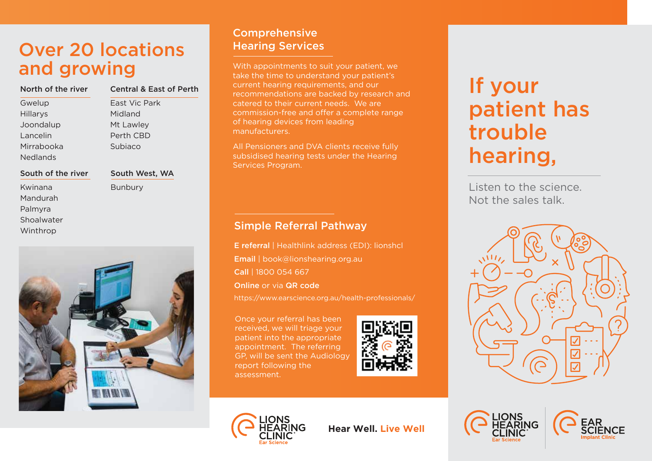# Over 20 locations and growing

| North of the river | <b>Central &amp; East of Perth</b> |
|--------------------|------------------------------------|
| Gwelup             | East Vic Park                      |
| Hillarys           | Midland                            |
| Joondalup          | Mt Lawley                          |
| Lancelin           | Perth CBD                          |
| Mirrabooka         | Subjaco                            |

#### South of the river

Kwinana Mandurah Palmyra Shoalwater Winthrop

Nedlands

South West, WA Bunbury



# Comprehensive Hearing Services

With appointments to suit your patient, we take the time to understand your patient's current hearing requirements, and our recommendations are backed by research and catered to their current needs. We are commission-free and offer a complete range of hearing devices from leading manufacturers.

All Pensioners and DVA clients receive fully subsidised hearing tests under the Hearing Services Program.

## Simple Referral Pathway

Online or via QR code Call | 1800 054 667 Email | book@lionshearing.org.au E referral | Healthlink address (EDI): lionshcl

https://www.earscience.org.au/health-professionals/

Once your referral has been received, we will triage your patient into the appropriate appointment. The referring GP, will be sent the Audiology report following the assessment.





Listen to the science. Not the sales talk.





**Hear Well. Live Well**